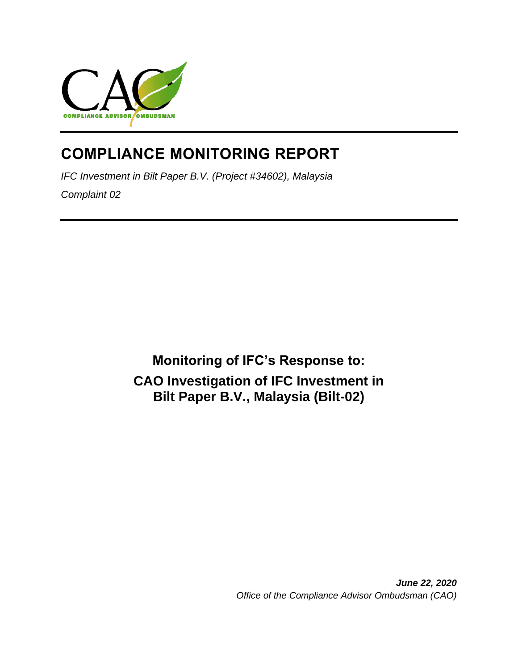

# **COMPLIANCE MONITORING REPORT**

*IFC Investment in Bilt Paper B.V. (Project #34602), Malaysia Complaint 02*

> **Monitoring of IFC's Response to: CAO Investigation of IFC Investment in Bilt Paper B.V., Malaysia (Bilt-02)**

> > *June 22, 2020 Office of the Compliance Advisor Ombudsman (CAO)*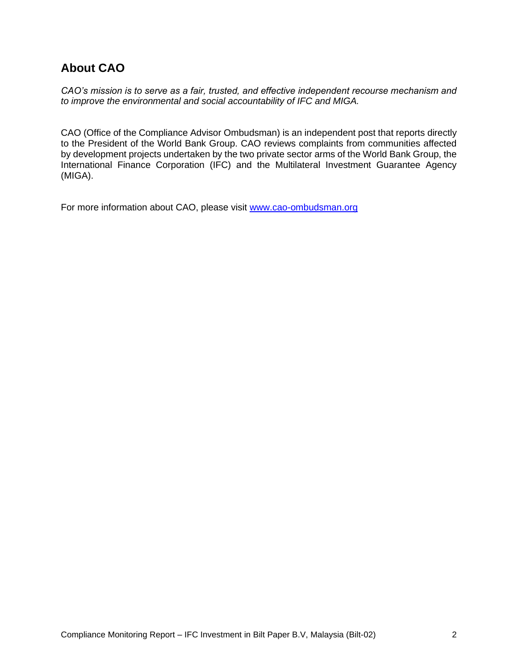# **About CAO**

*CAO's mission is to serve as a fair, trusted, and effective independent recourse mechanism and to improve the environmental and social accountability of IFC and MIGA.*

CAO (Office of the Compliance Advisor Ombudsman) is an independent post that reports directly to the President of the World Bank Group. CAO reviews complaints from communities affected by development projects undertaken by the two private sector arms of the World Bank Group, the International Finance Corporation (IFC) and the Multilateral Investment Guarantee Agency (MIGA).

For more information about CAO, please visit [www.cao-ombudsman.org](http://www.cao-ombudsman.org/)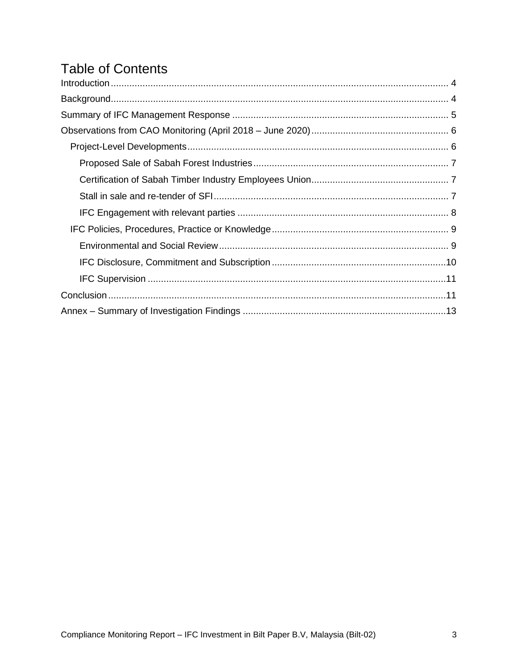# **Table of Contents**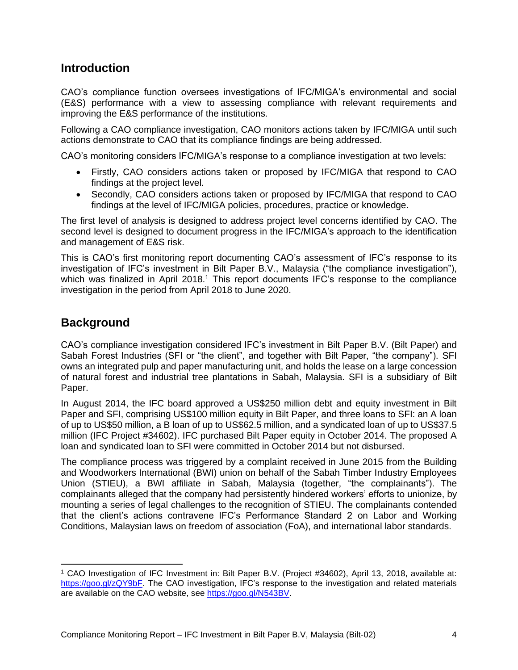### <span id="page-3-0"></span>**Introduction**

CAO's compliance function oversees investigations of IFC/MIGA's environmental and social (E&S) performance with a view to assessing compliance with relevant requirements and improving the E&S performance of the institutions.

Following a CAO compliance investigation, CAO monitors actions taken by IFC/MIGA until such actions demonstrate to CAO that its compliance findings are being addressed.

CAO's monitoring considers IFC/MIGA's response to a compliance investigation at two levels:

- Firstly, CAO considers actions taken or proposed by IFC/MIGA that respond to CAO findings at the project level.
- Secondly, CAO considers actions taken or proposed by IFC/MIGA that respond to CAO findings at the level of IFC/MIGA policies, procedures, practice or knowledge.

The first level of analysis is designed to address project level concerns identified by CAO. The second level is designed to document progress in the IFC/MIGA's approach to the identification and management of E&S risk.

This is CAO's first monitoring report documenting CAO's assessment of IFC's response to its investigation of IFC's investment in Bilt Paper B.V., Malaysia ("the compliance investigation"), which was finalized in April 2018.<sup>1</sup> This report documents IFC's response to the compliance investigation in the period from April 2018 to June 2020.

# <span id="page-3-1"></span>**Background**

CAO's compliance investigation considered IFC's investment in Bilt Paper B.V. (Bilt Paper) and Sabah Forest Industries (SFI or "the client", and together with Bilt Paper, "the company"). SFI owns an integrated pulp and paper manufacturing unit, and holds the lease on a large concession of natural forest and industrial tree plantations in Sabah, Malaysia. SFI is a subsidiary of Bilt Paper.

In August 2014, the IFC board approved a US\$250 million debt and equity investment in Bilt Paper and SFI, comprising US\$100 million equity in Bilt Paper, and three loans to SFI: an A loan of up to US\$50 million, a B loan of up to US\$62.5 million, and a syndicated loan of up to US\$37.5 million (IFC Project #34602). IFC purchased Bilt Paper equity in October 2014. The proposed A loan and syndicated loan to SFI were committed in October 2014 but not disbursed.

The compliance process was triggered by a complaint received in June 2015 from the Building and Woodworkers International (BWI) union on behalf of the Sabah Timber Industry Employees Union (STIEU), a BWI affiliate in Sabah, Malaysia (together, "the complainants"). The complainants alleged that the company had persistently hindered workers' efforts to unionize, by mounting a series of legal challenges to the recognition of STIEU. The complainants contended that the client's actions contravene IFC's Performance Standard 2 on Labor and Working Conditions, Malaysian laws on freedom of association (FoA), and international labor standards.

<sup>1</sup> CAO Investigation of IFC Investment in: Bilt Paper B.V. (Project #34602), April 13, 2018, available at: [https://goo.gl/zQY9bF.](https://goo.gl/zQY9bF) The CAO investigation, IFC's response to the investigation and related materials are available on the CAO website, see [https://goo.gl/N543BV.](https://goo.gl/N543BV)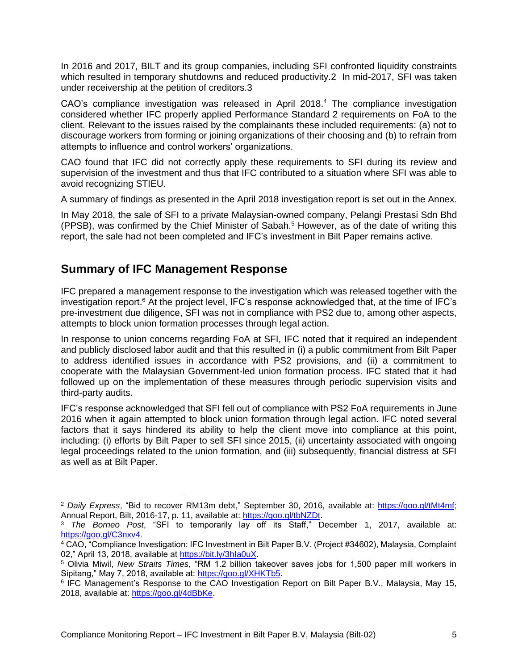In 2016 and 2017, BILT and its group companies, including SFI confronted liquidity constraints which resulted in temporary shutdowns and reduced productivity. 2 In mid-2017, SFI was taken under receivership at the petition of creditors.3

CAO's compliance investigation was released in April 2018. <sup>4</sup> The compliance investigation considered whether IFC properly applied Performance Standard 2 requirements on FoA to the client. Relevant to the issues raised by the complainants these included requirements: (a) not to discourage workers from forming or joining organizations of their choosing and (b) to refrain from attempts to influence and control workers' organizations.

CAO found that IFC did not correctly apply these requirements to SFI during its review and supervision of the investment and thus that IFC contributed to a situation where SFI was able to avoid recognizing STIEU.

A summary of findings as presented in the April 2018 investigation report is set out in the Annex.

In May 2018, the sale of SFI to a private Malaysian-owned company, Pelangi Prestasi Sdn Bhd  $(PPSB)$ , was confirmed by the Chief Minister of Sabah.<sup>5</sup> However, as of the date of writing this report, the sale had not been completed and IFC's investment in Bilt Paper remains active.

### <span id="page-4-0"></span>**Summary of IFC Management Response**

IFC prepared a management response to the investigation which was released together with the investigation report.<sup>6</sup> At the project level, IFC's response acknowledged that, at the time of IFC's pre-investment due diligence, SFI was not in compliance with PS2 due to, among other aspects, attempts to block union formation processes through legal action.

In response to union concerns regarding FoA at SFI, IFC noted that it required an independent and publicly disclosed labor audit and that this resulted in (i) a public commitment from Bilt Paper to address identified issues in accordance with PS2 provisions, and (ii) a commitment to cooperate with the Malaysian Government-led union formation process. IFC stated that it had followed up on the implementation of these measures through periodic supervision visits and third-party audits.

IFC's response acknowledged that SFI fell out of compliance with PS2 FoA requirements in June 2016 when it again attempted to block union formation through legal action. IFC noted several factors that it says hindered its ability to help the client move into compliance at this point, including: (i) efforts by Bilt Paper to sell SFI since 2015, (ii) uncertainty associated with ongoing legal proceedings related to the union formation, and (iii) subsequently, financial distress at SFI as well as at Bilt Paper.

<sup>2</sup> *Daily Express*, "Bid to recover RM13m debt," September 30, 2016, available at: [https://goo.gl/tMt4mf;](https://goo.gl/tMt4mf) Annual Report, Bilt, 2016-17, p. 11, available at: [https://goo.gl/tbNZDt.](https://goo.gl/tbNZDt)

<sup>3</sup> *The Borneo Post*, "SFI to temporarily lay off its Staff," December 1, 2017, available at: [https://goo.gl/C3nxv4.](https://goo.gl/C3nxv4)

<sup>&</sup>lt;sup>4</sup> CAO, "Compliance Investigation: IFC Investment in Bilt Paper B.V. (Project #34602), Malaysia, Complaint 02," April 13, 2018, available at [https://bit.ly/3hIa0uX.](https://bit.ly/3hIa0uX)

<sup>5</sup> Olivia Miwil, *New Straits Times,* "RM 1.2 billion takeover saves jobs for 1,500 paper mill workers in Sipitang," May 7, 2018, available at: [https://goo.gl/XHKTb5.](https://goo.gl/XHKTb5)

<sup>6</sup> IFC Management's Response to the CAO Investigation Report on Bilt Paper B.V., Malaysia, May 15, 2018, available at: [https://goo.gl/4dBbKe.](https://goo.gl/4dBbKe)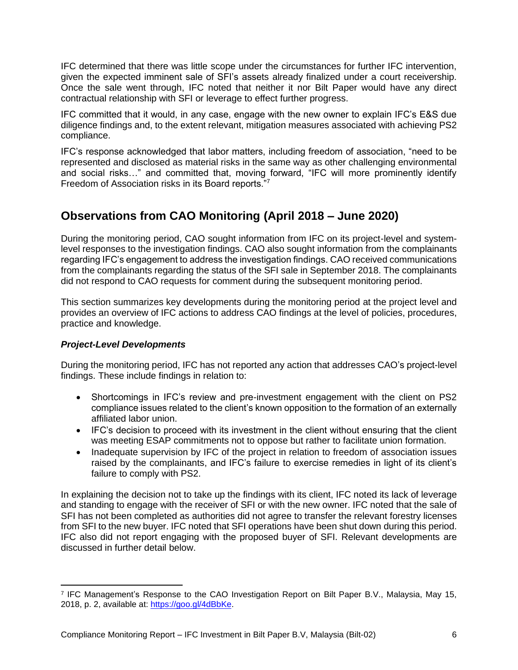IFC determined that there was little scope under the circumstances for further IFC intervention, given the expected imminent sale of SFI's assets already finalized under a court receivership. Once the sale went through, IFC noted that neither it nor Bilt Paper would have any direct contractual relationship with SFI or leverage to effect further progress.

IFC committed that it would, in any case, engage with the new owner to explain IFC's E&S due diligence findings and, to the extent relevant, mitigation measures associated with achieving PS2 compliance.

IFC's response acknowledged that labor matters, including freedom of association, "need to be represented and disclosed as material risks in the same way as other challenging environmental and social risks…" and committed that, moving forward, "IFC will more prominently identify Freedom of Association risks in its Board reports."<sup>7</sup>

# <span id="page-5-0"></span>**Observations from CAO Monitoring (April 2018 – June 2020)**

During the monitoring period, CAO sought information from IFC on its project-level and systemlevel responses to the investigation findings. CAO also sought information from the complainants regarding IFC's engagement to address the investigation findings. CAO received communications from the complainants regarding the status of the SFI sale in September 2018. The complainants did not respond to CAO requests for comment during the subsequent monitoring period.

This section summarizes key developments during the monitoring period at the project level and provides an overview of IFC actions to address CAO findings at the level of policies, procedures, practice and knowledge.

#### <span id="page-5-1"></span>*Project-Level Developments*

During the monitoring period, IFC has not reported any action that addresses CAO's project-level findings. These include findings in relation to:

- Shortcomings in IFC's review and pre-investment engagement with the client on PS2 compliance issues related to the client's known opposition to the formation of an externally affiliated labor union.
- IFC's decision to proceed with its investment in the client without ensuring that the client was meeting ESAP commitments not to oppose but rather to facilitate union formation.
- Inadequate supervision by IFC of the project in relation to freedom of association issues raised by the complainants, and IFC's failure to exercise remedies in light of its client's failure to comply with PS2.

In explaining the decision not to take up the findings with its client, IFC noted its lack of leverage and standing to engage with the receiver of SFI or with the new owner. IFC noted that the sale of SFI has not been completed as authorities did not agree to transfer the relevant forestry licenses from SFI to the new buyer. IFC noted that SFI operations have been shut down during this period. IFC also did not report engaging with the proposed buyer of SFI. Relevant developments are discussed in further detail below.

<sup>7</sup> IFC Management's Response to the CAO Investigation Report on Bilt Paper B.V., Malaysia, May 15, 2018, p. 2, available at: [https://goo.gl/4dBbKe.](https://goo.gl/4dBbKe)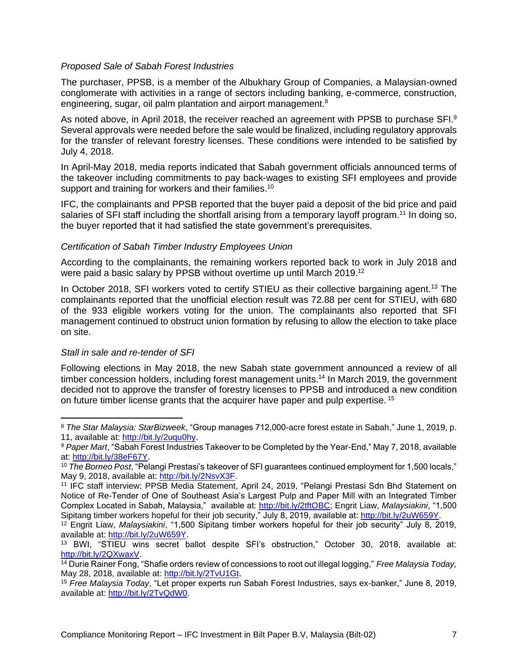#### <span id="page-6-0"></span>*Proposed Sale of Sabah Forest Industries*

The purchaser, PPSB, is a member of the Albukhary Group of Companies, a Malaysian-owned conglomerate with activities in a range of sectors including banking, e-commerce, construction, engineering, sugar, oil palm plantation and airport management.<sup>8</sup>

As noted above, in April 2018, the receiver reached an agreement with PPSB to purchase SFI.<sup>9</sup> Several approvals were needed before the sale would be finalized, including regulatory approvals for the transfer of relevant forestry licenses. These conditions were intended to be satisfied by July 4, 2018.

In April-May 2018, media reports indicated that Sabah government officials announced terms of the takeover including commitments to pay back-wages to existing SFI employees and provide support and training for workers and their families.<sup>10</sup>

IFC, the complainants and PPSB reported that the buyer paid a deposit of the bid price and paid salaries of SFI staff including the shortfall arising from a temporary layoff program.<sup>11</sup> In doing so, the buyer reported that it had satisfied the state government's prerequisites.

#### <span id="page-6-1"></span>*Certification of Sabah Timber Industry Employees Union*

According to the complainants, the remaining workers reported back to work in July 2018 and were paid a basic salary by PPSB without overtime up until March 2019.<sup>12</sup>

In October 2018, SFI workers voted to certify STIEU as their collective bargaining agent.<sup>13</sup> The complainants reported that the unofficial election result was 72.88 per cent for STIEU, with 680 of the 933 eligible workers voting for the union. The complainants also reported that SFI management continued to obstruct union formation by refusing to allow the election to take place on site.

#### <span id="page-6-2"></span>*Stall in sale and re-tender of SFI*

Following elections in May 2018, the new Sabah state government announced a review of all timber concession holders, including forest management units.<sup>14</sup> In March 2019, the government decided not to approve the transfer of forestry licenses to PPSB and introduced a new condition on future timber license grants that the acquirer have paper and pulp expertise. <sup>15</sup>

<sup>8</sup> *The Star Malaysia: StarBizweek*, "Group manages 712,000-acre forest estate in Sabah," June 1, 2019, p. 11, available at: [http://bit.ly/2uqu0hy.](http://bit.ly/2uqu0hy)

<sup>9</sup> *Paper Mart*, "Sabah Forest Industries Takeover to be Completed by the Year-End," May 7, 2018, available at: [http://bit.ly/38eF67Y.](http://bit.ly/38eF67Y)

<sup>10</sup> *The Borneo Post*, "Pelangi Prestasi's takeover of SFI guarantees continued employment for 1,500 locals," May 9, 2018, available at: [http://bit.ly/2NsvX3F.](http://bit.ly/2NsvX3F)

<sup>11</sup> IFC staff interview; PPSB Media Statement, April 24, 2019, "Pelangi Prestasi Sdn Bhd Statement on Notice of Re-Tender of One of Southeast Asia's Largest Pulp and Paper Mill with an Integrated Timber Complex Located in Sabah, Malaysia," available at: [http://bit.ly/2tftOBC;](http://bit.ly/2tftOBC) Engrit Liaw, *Malaysiakini*, "1,500 Sipitang timber workers hopeful for their job security," July 8, 2019, available at: [http://bit.ly/2uW659Y.](http://bit.ly/2uW659Y)

<sup>12</sup> Engrit Liaw, *Malaysiakini*, "1,500 Sipitang timber workers hopeful for their job security" July 8, 2019, available at: [http://bit.ly/2uW659Y.](http://bit.ly/2uW659Y)

<sup>13</sup> BWI, "STIEU wins secret ballot despite SFI's obstruction," October 30, 2018, available at: [http://bit.ly/2QXwaxV.](http://bit.ly/2QXwaxV)

<sup>14</sup> Durie Rainer Fong, "Shafie orders review of concessions to root out illegal logging," *Free Malaysia Today,*  May 28, 2018, available at: [http://bit.ly/2TvU1Gt.](http://bit.ly/2TvU1Gt)

<sup>15</sup> *Free Malaysia Today*, "Let proper experts run Sabah Forest Industries, says ex-banker," June 8, 2019, available at: [http://bit.ly/2TvQdW0.](http://bit.ly/2TvQdW0)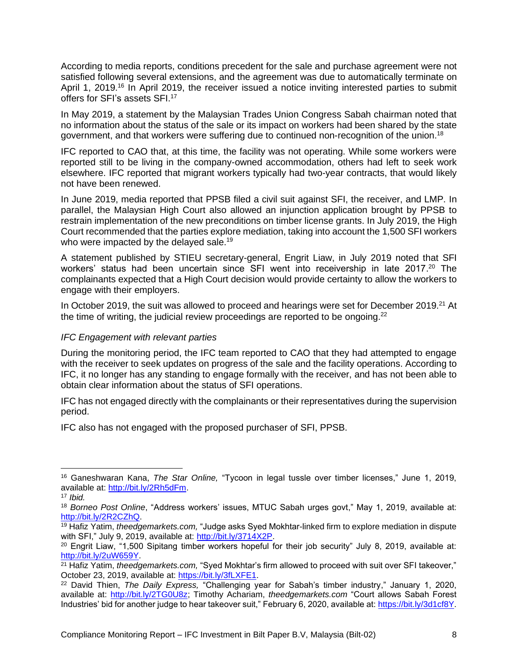According to media reports, conditions precedent for the sale and purchase agreement were not satisfied following several extensions, and the agreement was due to automatically terminate on April 1, 2019.<sup>16</sup> In April 2019, the receiver issued a notice inviting interested parties to submit offers for SFI's assets SFI.<sup>17</sup>

In May 2019, a statement by the Malaysian Trades Union Congress Sabah chairman noted that no information about the status of the sale or its impact on workers had been shared by the state government, and that workers were suffering due to continued non-recognition of the union.<sup>18</sup>

IFC reported to CAO that, at this time, the facility was not operating. While some workers were reported still to be living in the company-owned accommodation, others had left to seek work elsewhere. IFC reported that migrant workers typically had two-year contracts, that would likely not have been renewed.

In June 2019, media reported that PPSB filed a civil suit against SFI, the receiver, and LMP. In parallel, the Malaysian High Court also allowed an injunction application brought by PPSB to restrain implementation of the new preconditions on timber license grants. In July 2019, the High Court recommended that the parties explore mediation, taking into account the 1,500 SFI workers who were impacted by the delayed sale.<sup>19</sup>

A statement published by STIEU secretary-general, Engrit Liaw, in July 2019 noted that SFI workers' status had been uncertain since SFI went into receivership in late 2017.<sup>20</sup> The complainants expected that a High Court decision would provide certainty to allow the workers to engage with their employers.

In October 2019, the suit was allowed to proceed and hearings were set for December 2019.<sup>21</sup> At the time of writing, the judicial review proceedings are reported to be ongoing.<sup>22</sup>

#### <span id="page-7-0"></span>*IFC Engagement with relevant parties*

During the monitoring period, the IFC team reported to CAO that they had attempted to engage with the receiver to seek updates on progress of the sale and the facility operations. According to IFC, it no longer has any standing to engage formally with the receiver, and has not been able to obtain clear information about the status of SFI operations.

IFC has not engaged directly with the complainants or their representatives during the supervision period.

IFC also has not engaged with the proposed purchaser of SFI, PPSB.

<sup>16</sup> Ganeshwaran Kana, *The Star Online,* "Tycoon in legal tussle over timber licenses," June 1, 2019, available at: [http://bit.ly/2Rh5dFm.](http://bit.ly/2Rh5dFm)

<sup>17</sup> *Ibid.*

<sup>18</sup> *Borneo Post Online*, "Address workers' issues, MTUC Sabah urges govt," May 1, 2019, available at: [http://bit.ly/2R2CZhQ.](http://bit.ly/2R2CZhQ)

<sup>19</sup> Hafiz Yatim, *theedgemarkets.com,* "Judge asks Syed Mokhtar-linked firm to explore mediation in dispute with SFI," July 9, 2019, available at: [http://bit.ly/3714X2P.](http://bit.ly/3714X2P)

<sup>&</sup>lt;sup>20</sup> Engrit Liaw, "1,500 Sipitang timber workers hopeful for their job security" July 8, 2019, available at: [http://bit.ly/2uW659Y.](http://bit.ly/2uW659Y) 

<sup>21</sup> Hafiz Yatim, *theedgemarkets.com,* "Syed Mokhtar's firm allowed to proceed with suit over SFI takeover," October 23, 2019, available at: [https://bit.ly/3fLXFE1.](https://bit.ly/3fLXFE1)

<sup>22</sup> David Thien, *The Daily Express,* "Challenging year for Sabah's timber industry," January 1, 2020, available at: [http://bit.ly/2TG0U8z;](http://bit.ly/2TG0U8z) Timothy Achariam, *theedgemarkets.com* "Court allows Sabah Forest Industries' bid for another judge to hear takeover suit," February 6, 2020, available at: [https://bit.ly/3d1cf8Y.](https://bit.ly/3d1cf8Y)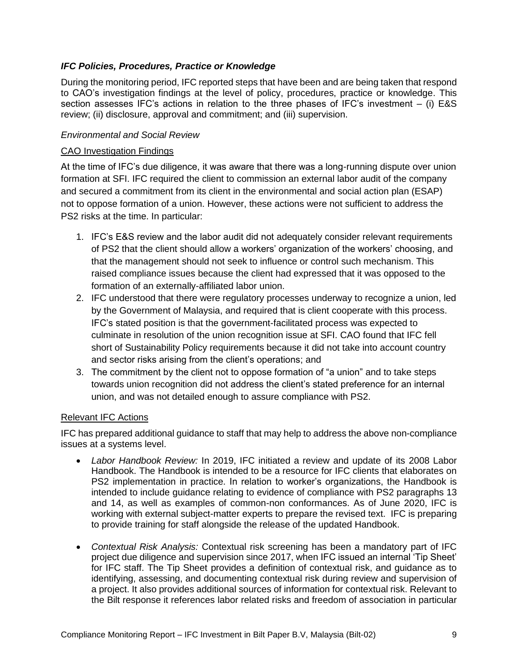#### <span id="page-8-0"></span>*IFC Policies, Procedures, Practice or Knowledge*

During the monitoring period, IFC reported steps that have been and are being taken that respond to CAO's investigation findings at the level of policy, procedures, practice or knowledge. This section assesses IFC's actions in relation to the three phases of IFC's investment – (i) E&S review; (ii) disclosure, approval and commitment; and (iii) supervision.

#### <span id="page-8-1"></span>*Environmental and Social Review*

#### CAO Investigation Findings

At the time of IFC's due diligence, it was aware that there was a long-running dispute over union formation at SFI. IFC required the client to commission an external labor audit of the company and secured a commitment from its client in the environmental and social action plan (ESAP) not to oppose formation of a union. However, these actions were not sufficient to address the PS2 risks at the time. In particular:

- 1. IFC's E&S review and the labor audit did not adequately consider relevant requirements of PS2 that the client should allow a workers' organization of the workers' choosing, and that the management should not seek to influence or control such mechanism. This raised compliance issues because the client had expressed that it was opposed to the formation of an externally-affiliated labor union.
- 2. IFC understood that there were regulatory processes underway to recognize a union, led by the Government of Malaysia, and required that is client cooperate with this process. IFC's stated position is that the government-facilitated process was expected to culminate in resolution of the union recognition issue at SFI. CAO found that IFC fell short of Sustainability Policy requirements because it did not take into account country and sector risks arising from the client's operations; and
- 3. The commitment by the client not to oppose formation of "a union" and to take steps towards union recognition did not address the client's stated preference for an internal union, and was not detailed enough to assure compliance with PS2.

#### Relevant IFC Actions

IFC has prepared additional guidance to staff that may help to address the above non-compliance issues at a systems level.

- *Labor Handbook Review:* In 2019, IFC initiated a review and update of its 2008 Labor Handbook. The Handbook is intended to be a resource for IFC clients that elaborates on PS2 implementation in practice. In relation to worker's organizations, the Handbook is intended to include guidance relating to evidence of compliance with PS2 paragraphs 13 and 14, as well as examples of common-non conformances. As of June 2020, IFC is working with external subject-matter experts to prepare the revised text. IFC is preparing to provide training for staff alongside the release of the updated Handbook.
- *Contextual Risk Analysis:* Contextual risk screening has been a mandatory part of IFC project due diligence and supervision since 2017, when IFC issued an internal 'Tip Sheet' for IFC staff. The Tip Sheet provides a definition of contextual risk, and guidance as to identifying, assessing, and documenting contextual risk during review and supervision of a project. It also provides additional sources of information for contextual risk. Relevant to the Bilt response it references labor related risks and freedom of association in particular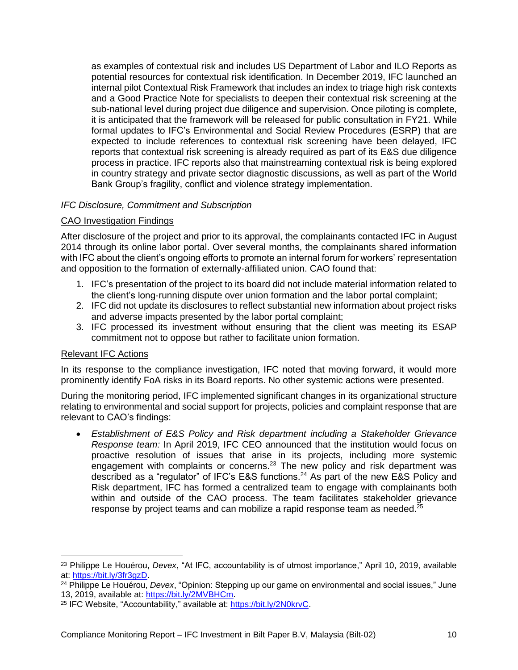as examples of contextual risk and includes US Department of Labor and ILO Reports as potential resources for contextual risk identification. In December 2019, IFC launched an internal pilot Contextual Risk Framework that includes an index to triage high risk contexts and a Good Practice Note for specialists to deepen their contextual risk screening at the sub-national level during project due diligence and supervision. Once piloting is complete, it is anticipated that the framework will be released for public consultation in FY21. While formal updates to IFC's Environmental and Social Review Procedures (ESRP) that are expected to include references to contextual risk screening have been delayed, IFC reports that contextual risk screening is already required as part of its E&S due diligence process in practice. IFC reports also that mainstreaming contextual risk is being explored in country strategy and private sector diagnostic discussions, as well as part of the World Bank Group's fragility, conflict and violence strategy implementation.

#### <span id="page-9-0"></span>*IFC Disclosure, Commitment and Subscription*

#### CAO Investigation Findings

After disclosure of the project and prior to its approval, the complainants contacted IFC in August 2014 through its online labor portal. Over several months, the complainants shared information with IFC about the client's ongoing efforts to promote an internal forum for workers' representation and opposition to the formation of externally-affiliated union. CAO found that:

- 1. IFC's presentation of the project to its board did not include material information related to the client's long-running dispute over union formation and the labor portal complaint;
- 2. IFC did not update its disclosures to reflect substantial new information about project risks and adverse impacts presented by the labor portal complaint;
- 3. IFC processed its investment without ensuring that the client was meeting its ESAP commitment not to oppose but rather to facilitate union formation.

#### Relevant IFC Actions

In its response to the compliance investigation, IFC noted that moving forward, it would more prominently identify FoA risks in its Board reports. No other systemic actions were presented.

During the monitoring period, IFC implemented significant changes in its organizational structure relating to environmental and social support for projects, policies and complaint response that are relevant to CAO's findings:

• *Establishment of E&S Policy and Risk department including a Stakeholder Grievance Response team:* In April 2019, IFC CEO announced that the institution would focus on proactive resolution of issues that arise in its projects, including more systemic engagement with complaints or concerns.<sup>23</sup> The new policy and risk department was described as a "regulator" of IFC's E&S functions.<sup>24</sup> As part of the new E&S Policy and Risk department, IFC has formed a centralized team to engage with complainants both within and outside of the CAO process. The team facilitates stakeholder grievance response by project teams and can mobilize a rapid response team as needed. $^{25}$ 

<sup>23</sup> Philippe Le Houérou, *Devex*, "At IFC, accountability is of utmost importance," April 10, 2019, available at: [https://bit.ly/3fr3gzD.](https://bit.ly/3fr3gzD)

<sup>24</sup> Philippe Le Houérou, *Devex*, "Opinion: Stepping up our game on environmental and social issues," June 13, 2019, available at: [https://bit.ly/2MVBHCm.](https://bit.ly/2MVBHCm)

<sup>&</sup>lt;sup>25</sup> IFC Website, "Accountability," available at: [https://bit.ly/2N0krvC.](https://bit.ly/2N0krvC)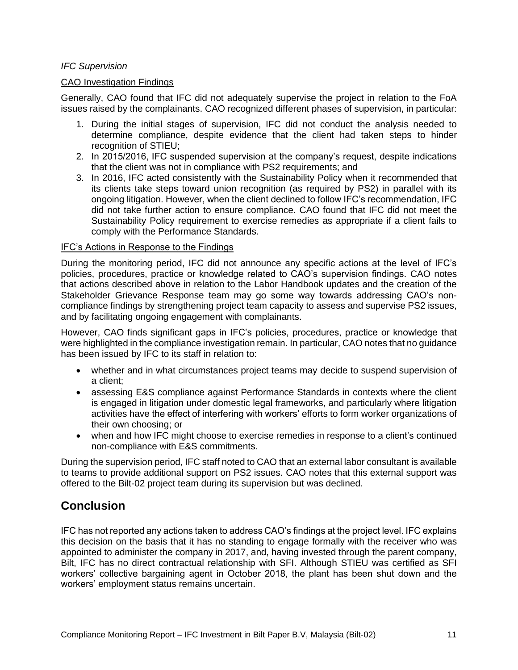#### <span id="page-10-0"></span>*IFC Supervision*

#### CAO Investigation Findings

Generally, CAO found that IFC did not adequately supervise the project in relation to the FoA issues raised by the complainants. CAO recognized different phases of supervision, in particular:

- 1. During the initial stages of supervision, IFC did not conduct the analysis needed to determine compliance, despite evidence that the client had taken steps to hinder recognition of STIEU;
- 2. In 2015/2016, IFC suspended supervision at the company's request, despite indications that the client was not in compliance with PS2 requirements; and
- 3. In 2016, IFC acted consistently with the Sustainability Policy when it recommended that its clients take steps toward union recognition (as required by PS2) in parallel with its ongoing litigation. However, when the client declined to follow IFC's recommendation, IFC did not take further action to ensure compliance. CAO found that IFC did not meet the Sustainability Policy requirement to exercise remedies as appropriate if a client fails to comply with the Performance Standards.

#### IFC's Actions in Response to the Findings

During the monitoring period, IFC did not announce any specific actions at the level of IFC's policies, procedures, practice or knowledge related to CAO's supervision findings. CAO notes that actions described above in relation to the Labor Handbook updates and the creation of the Stakeholder Grievance Response team may go some way towards addressing CAO's noncompliance findings by strengthening project team capacity to assess and supervise PS2 issues, and by facilitating ongoing engagement with complainants.

However, CAO finds significant gaps in IFC's policies, procedures, practice or knowledge that were highlighted in the compliance investigation remain. In particular, CAO notes that no guidance has been issued by IFC to its staff in relation to:

- whether and in what circumstances project teams may decide to suspend supervision of a client;
- assessing E&S compliance against Performance Standards in contexts where the client is engaged in litigation under domestic legal frameworks, and particularly where litigation activities have the effect of interfering with workers' efforts to form worker organizations of their own choosing; or
- when and how IFC might choose to exercise remedies in response to a client's continued non-compliance with E&S commitments.

During the supervision period, IFC staff noted to CAO that an external labor consultant is available to teams to provide additional support on PS2 issues. CAO notes that this external support was offered to the Bilt-02 project team during its supervision but was declined.

# <span id="page-10-1"></span>**Conclusion**

IFC has not reported any actions taken to address CAO's findings at the project level. IFC explains this decision on the basis that it has no standing to engage formally with the receiver who was appointed to administer the company in 2017, and, having invested through the parent company, Bilt, IFC has no direct contractual relationship with SFI. Although STIEU was certified as SFI workers' collective bargaining agent in October 2018, the plant has been shut down and the workers' employment status remains uncertain.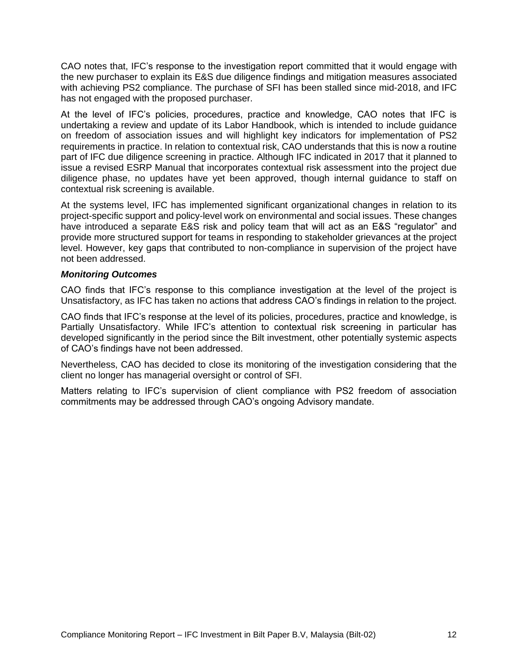CAO notes that, IFC's response to the investigation report committed that it would engage with the new purchaser to explain its E&S due diligence findings and mitigation measures associated with achieving PS2 compliance. The purchase of SFI has been stalled since mid-2018, and IFC has not engaged with the proposed purchaser.

At the level of IFC's policies, procedures, practice and knowledge, CAO notes that IFC is undertaking a review and update of its Labor Handbook, which is intended to include guidance on freedom of association issues and will highlight key indicators for implementation of PS2 requirements in practice. In relation to contextual risk, CAO understands that this is now a routine part of IFC due diligence screening in practice. Although IFC indicated in 2017 that it planned to issue a revised ESRP Manual that incorporates contextual risk assessment into the project due diligence phase, no updates have yet been approved, though internal guidance to staff on contextual risk screening is available.

At the systems level, IFC has implemented significant organizational changes in relation to its project-specific support and policy-level work on environmental and social issues. These changes have introduced a separate E&S risk and policy team that will act as an E&S "regulator" and provide more structured support for teams in responding to stakeholder grievances at the project level. However, key gaps that contributed to non-compliance in supervision of the project have not been addressed.

#### *Monitoring Outcomes*

CAO finds that IFC's response to this compliance investigation at the level of the project is Unsatisfactory, as IFC has taken no actions that address CAO's findings in relation to the project.

CAO finds that IFC's response at the level of its policies, procedures, practice and knowledge, is Partially Unsatisfactory. While IFC's attention to contextual risk screening in particular has developed significantly in the period since the Bilt investment, other potentially systemic aspects of CAO's findings have not been addressed.

Nevertheless, CAO has decided to close its monitoring of the investigation considering that the client no longer has managerial oversight or control of SFI.

Matters relating to IFC's supervision of client compliance with PS2 freedom of association commitments may be addressed through CAO's ongoing Advisory mandate.